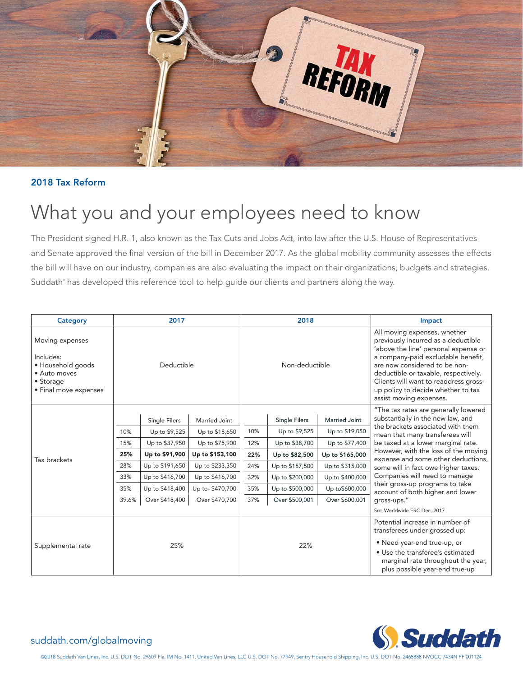

#### **2018 Tax Reform**

# What you and your employees need to know

The President signed H.R. 1, also known as the Tax Cuts and Jobs Act, into law after the U.S. House of Representatives and Senate approved the final version of the bill in December 2017. As the global mobility community assesses the effects the bill will have on our industry, companies are also evaluating the impact on their organizations, budgets and strategies. Suddath® has developed this reference tool to help guide our clients and partners along the way.

| Category                                                                                                | 2017       |                      |                 | 2018           |                      |                 | Impact                                                                                                                                                                                                                                                                                                                                                                       |  |  |
|---------------------------------------------------------------------------------------------------------|------------|----------------------|-----------------|----------------|----------------------|-----------------|------------------------------------------------------------------------------------------------------------------------------------------------------------------------------------------------------------------------------------------------------------------------------------------------------------------------------------------------------------------------------|--|--|
| Moving expenses<br>Includes:<br>· Household goods<br>• Auto moves<br>• Storage<br>• Final move expenses | Deductible |                      |                 | Non-deductible |                      |                 | All moving expenses, whether<br>previously incurred as a deductible<br>'above the line' personal expense or<br>a company-paid excludable benefit,<br>are now considered to be non-<br>deductible or taxable, respectively.<br>Clients will want to readdress gross-<br>up policy to decide whether to tax<br>assist moving expenses.                                         |  |  |
| Tax brackets                                                                                            |            |                      |                 |                |                      |                 | "The tax rates are generally lowered                                                                                                                                                                                                                                                                                                                                         |  |  |
|                                                                                                         |            | <b>Single Filers</b> | Married Joint   |                | <b>Single Filers</b> | Married Joint   | substantially in the new law, and<br>the brackets associated with them<br>mean that many transferees will<br>be taxed at a lower marginal rate.<br>However, with the loss of the moving<br>expense and some other deductions,<br>some will in fact owe higher taxes.<br>Companies will need to manage<br>their gross-up programs to take<br>account of both higher and lower |  |  |
|                                                                                                         | 10%        | Up to \$9,525        | Up to \$18,650  | 10%            | Up to \$9,525        | Up to \$19,050  |                                                                                                                                                                                                                                                                                                                                                                              |  |  |
|                                                                                                         | 15%        | Up to \$37,950       | Up to \$75,900  | 12%            | Up to \$38,700       | Up to \$77,400  |                                                                                                                                                                                                                                                                                                                                                                              |  |  |
|                                                                                                         | 25%        | Up to \$91,900       | Up to \$153,100 | 22%            | Up to \$82,500       | Up to \$165,000 |                                                                                                                                                                                                                                                                                                                                                                              |  |  |
|                                                                                                         | 28%        | Up to \$191,650      | Up to \$233,350 | 24%            | Up to \$157,500      | Up to \$315,000 |                                                                                                                                                                                                                                                                                                                                                                              |  |  |
|                                                                                                         | 33%        | Up to \$416,700      | Up to \$416,700 | 32%            | Up to \$200,000      | Up to \$400,000 |                                                                                                                                                                                                                                                                                                                                                                              |  |  |
|                                                                                                         | 35%        | Up to \$418,400      | Up to-\$470,700 | 35%            | Up to \$500,000      | Up to \$600,000 |                                                                                                                                                                                                                                                                                                                                                                              |  |  |
|                                                                                                         | 39.6%      | Over \$418,400       | Over \$470,700  | 37%            | Over \$500,001       | Over \$600,001  | qross-ups."                                                                                                                                                                                                                                                                                                                                                                  |  |  |
|                                                                                                         |            |                      |                 |                |                      |                 | Src: Worldwide ERC Dec. 2017                                                                                                                                                                                                                                                                                                                                                 |  |  |
| Supplemental rate                                                                                       | 25%        |                      |                 | 22%            |                      |                 | Potential increase in number of<br>transferees under grossed up:<br>• Need year-end true-up, or<br>• Use the transferee's estimated<br>marginal rate throughout the year,<br>plus possible year-end true-up                                                                                                                                                                  |  |  |



## suddath.com/globalmoving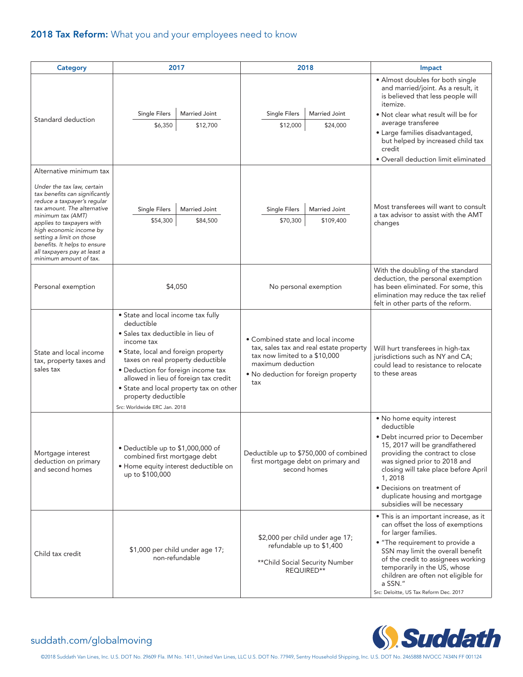## **2018 Tax Reform:** What you and your employees need to know

| <b>Category</b>                                                                                                                                                                                                                                                                                                                                          | 2017                                                                                                                                                                                                                                                                                                                                                             | 2018                                                                                                                                                                             | Impact                                                                                                                                                                                                                                                                                                                                        |
|----------------------------------------------------------------------------------------------------------------------------------------------------------------------------------------------------------------------------------------------------------------------------------------------------------------------------------------------------------|------------------------------------------------------------------------------------------------------------------------------------------------------------------------------------------------------------------------------------------------------------------------------------------------------------------------------------------------------------------|----------------------------------------------------------------------------------------------------------------------------------------------------------------------------------|-----------------------------------------------------------------------------------------------------------------------------------------------------------------------------------------------------------------------------------------------------------------------------------------------------------------------------------------------|
| Standard deduction                                                                                                                                                                                                                                                                                                                                       | <b>Single Filers</b><br>Married Joint<br>\$6,350<br>\$12,700                                                                                                                                                                                                                                                                                                     | <b>Single Filers</b><br>Married Joint<br>\$12,000<br>\$24,000                                                                                                                    | • Almost doubles for both single<br>and married/joint. As a result, it<br>is believed that less people will<br>itemize.<br>. Not clear what result will be for<br>average transferee<br>• Large families disadvantaged,<br>but helped by increased child tax<br>credit<br>• Overall deduction limit eliminated                                |
| Alternative minimum tax<br>Under the tax law, certain<br>tax benefits can significantly<br>reduce a taxpayer's regular<br>tax amount. The alternative<br>minimum tax (AMT)<br>applies to taxpayers with<br>high economic income by<br>setting a limit on those<br>benefits. It helps to ensure<br>all taxpayers pay at least a<br>minimum amount of tax. | <b>Single Filers</b><br>Married Joint<br>\$54,300<br>\$84,500                                                                                                                                                                                                                                                                                                    | <b>Married Joint</b><br>Single Filers<br>\$70,300<br>\$109,400                                                                                                                   | Most transferees will want to consult<br>a tax advisor to assist with the AMT<br>changes                                                                                                                                                                                                                                                      |
| Personal exemption                                                                                                                                                                                                                                                                                                                                       | \$4,050                                                                                                                                                                                                                                                                                                                                                          | No personal exemption                                                                                                                                                            | With the doubling of the standard<br>deduction, the personal exemption<br>has been eliminated. For some, this<br>elimination may reduce the tax relief<br>felt in other parts of the reform.                                                                                                                                                  |
| State and local income<br>tax, property taxes and<br>sales tax                                                                                                                                                                                                                                                                                           | • State and local income tax fully<br>deductible<br>· Sales tax deductible in lieu of<br>income tax<br>• State, local and foreign property<br>taxes on real property deductible<br>• Deduction for foreign income tax<br>allowed in lieu of foreign tax credit<br>• State and local property tax on other<br>property deductible<br>Src: Worldwide ERC Jan. 2018 | • Combined state and local income<br>tax, sales tax and real estate property<br>tax now limited to a \$10,000<br>maximum deduction<br>• No deduction for foreign property<br>tax | Will hurt transferees in high-tax<br>jurisdictions such as NY and CA;<br>could lead to resistance to relocate<br>to these areas                                                                                                                                                                                                               |
| Mortgage interest<br>deduction on primary<br>and second homes                                                                                                                                                                                                                                                                                            | · Deductible up to \$1,000,000 of<br>combined first mortgage debt<br>· Home equity interest deductible on<br>up to \$100,000                                                                                                                                                                                                                                     | Deductible up to \$750,000 of combined<br>first mortgage debt on primary and<br>second homes                                                                                     | • No home equity interest<br>deductible<br>· Debt incurred prior to December<br>15, 2017 will be grandfathered<br>providing the contract to close<br>was signed prior to 2018 and<br>closing will take place before April<br>1,2018<br>• Decisions on treatment of<br>duplicate housing and mortgage<br>subsidies will be necessary           |
| Child tax credit                                                                                                                                                                                                                                                                                                                                         | \$1,000 per child under age 17;<br>non-refundable                                                                                                                                                                                                                                                                                                                | \$2,000 per child under age 17;<br>refundable up to \$1,400<br>** Child Social Security Number<br>REQUIRED**                                                                     | • This is an important increase, as it<br>can offset the loss of exemptions<br>for larger families.<br>• "The requirement to provide a<br>SSN may limit the overall benefit<br>of the credit to assignees working<br>temporarily in the US, whose<br>children are often not eligible for<br>a SSN."<br>Src: Deloitte, US Tax Reform Dec. 2017 |



#### suddath.com/globalmoving